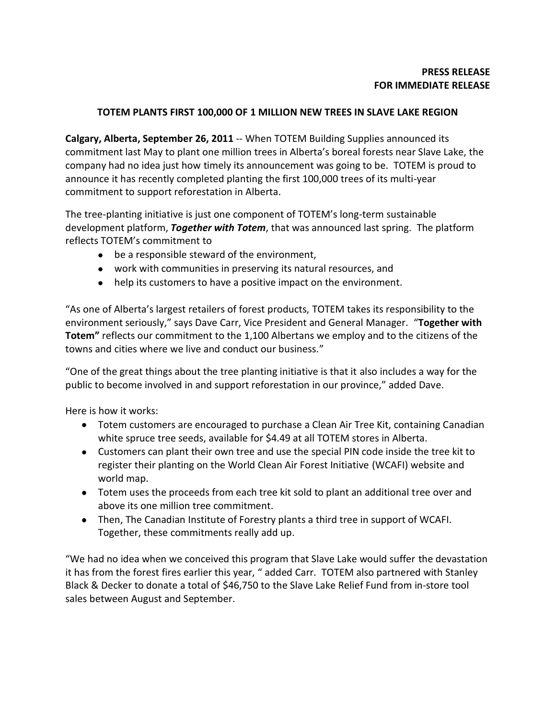## **TOTEM PLANTS FIRST 100,000 OF 1 MILLION NEW TREES IN SLAVE LAKE REGION**

**Calgary, Alberta, September 26, 2011** -- When TOTEM Building Supplies announced its commitment last May to plant one million trees in Alberta's boreal forests near Slave Lake, the company had no idea just how timely its announcement was going to be. TOTEM is proud to announce it has recently completed planting the first 100,000 trees of its multi-year commitment to support reforestation in Alberta.

The tree-planting initiative is just one component of TOTEM's long-term sustainable development platform, *Together with Totem*, that was announced last spring. The platform reflects TOTEM's commitment to

- be a responsible steward of the environment,
- work with communities in preserving its natural resources, and
- help its customers to have a positive impact on the environment.

"As one of Alberta's largest retailers of forest products, TOTEM takes its responsibility to the environment seriously," says Dave Carr, Vice President and General Manager. "**Together with Totem"** reflects our commitment to the 1,100 Albertans we employ and to the citizens of the towns and cities where we live and conduct our business."

"One of the great things about the tree planting initiative is that it also includes a way for the public to become involved in and support reforestation in our province," added Dave.

Here is how it works:

- Totem customers are encouraged to purchase a Clean Air Tree Kit, containing Canadian white spruce tree seeds, available for \$4.49 at all TOTEM stores in Alberta.
- Customers can plant their own tree and use the special PIN code inside the tree kit to register their planting on the World Clean Air Forest Initiative (WCAFI) website and world map.
- Totem uses the proceeds from each tree kit sold to plant an additional tree over and above its one million tree commitment.
- Then, The Canadian Institute of Forestry plants a third tree in support of WCAFI. Together, these commitments really add up.

"We had no idea when we conceived this program that Slave Lake would suffer the devastation it has from the forest fires earlier this year, " added Carr. TOTEM also partnered with Stanley Black & Decker to donate a total of \$46,750 to the Slave Lake Relief Fund from in-store tool sales between August and September.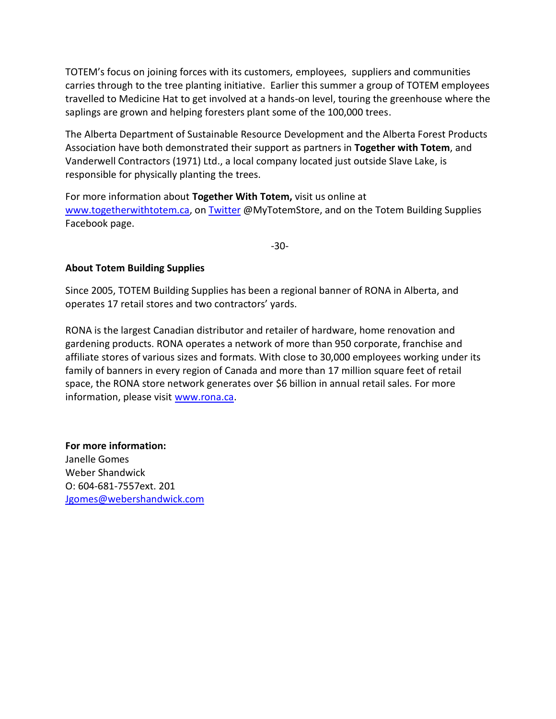TOTEM's focus on joining forces with its customers, employees, suppliers and communities carries through to the tree planting initiative. Earlier this summer a group of TOTEM employees travelled to Medicine Hat to get involved at a hands-on level, touring the greenhouse where the saplings are grown and helping foresters plant some of the 100,000 trees.

The Alberta Department of Sustainable Resource Development and the Alberta Forest Products Association have both demonstrated their support as partners in **Together with Totem**, and Vanderwell Contractors (1971) Ltd., a local company located just outside Slave Lake, is responsible for physically planting the trees.

For more information about **Together With Totem,** visit us online at [www.togetherwithtotem.ca,](http://www.togetherwithtotem.ca/) on [Twitter](http://twitter.com/MyTotemStore) @MyTotemStore, and on the Totem Building Supplies Facebook page.

-30-

## **About Totem Building Supplies**

Since 2005, TOTEM Building Supplies has been a regional banner of RONA in Alberta, and operates 17 retail stores and two contractors' yards.

RONA is the largest Canadian distributor and retailer of hardware, home renovation and gardening products. RONA operates a network of more than 950 corporate, franchise and affiliate stores of various sizes and formats. With close to 30,000 employees working under its family of banners in every region of Canada and more than 17 million square feet of retail space, the RONA store network generates over \$6 billion in annual retail sales. For more information, please visit [www.rona.ca.](javascript:%20openNewUrlWin()

**For more information:** Janelle Gomes Weber Shandwick O: 604-681-7557ext. 201 [Jgomes@webershandwick.com](mailto:Jgomes@webershandwick.com)